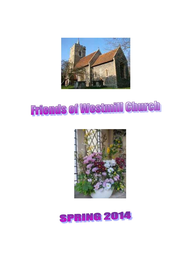

# **Friends of Westmill Church**



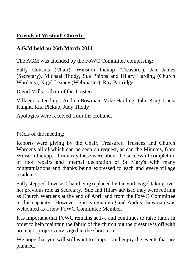# **Friends of Westmill Church -**

# **A.G.M held on 26th March 2014**

The AGM was attended by the FoWC Committee comprising:

Sally Cousins (Chair), Winston Pickup (Treasurer), Jan James (Secretary), Michael Thody, Sue Phipps and Hilary Harding (Church Wardens), Nigel Leaney (Webmaster), Ray Partridge.

David Mills - Chair of the Trustees.

Villagers attending: Andrea Bowman, Mike Harding, John King, Lucia Knight, Rita Pickup, Judy Thody

Apologies were received from Liz Holland.

Précis of the meeting:

Reports were giving by the Chair, Treasurer, Trustees and Church Wardens all of which can be seen on request, as can the Minutes, from Winston Pickup. Primarily these were about the successful completion of roof repairs and internal decoration of St Mary's with many congratulations and thanks being expressed to each and every village resident.

Sally stepped down as Chair being replaced by Jan with Nigel taking over her previous role as Secretary. Sue and Hilary advised they were retiring as Church Wardens at the end of April and from the FoWC Committee in this capacity. However, Sue is remaining and Andrea Bowman was welcomed as a new FoWC Committee Member.

It is important that FoWC remains active and continues to raise funds in order to help maintain the fabric of the church but the pressure is off with no major projects envisaged in the short term.

We hope that you will still want to support and enjoy the events that are planned.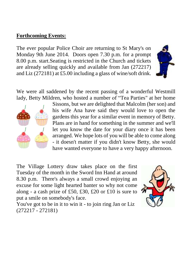## **Forthcoming Events:**

The ever popular Police Choir are returning to St Mary's on Monday 9th June 2014. Doors open 7.30 p.m. for a prompt 8.00 p.m. start.Seating is restricted in the Church and tickets are already selling quickly and available from Jan (272217) and Liz (272181) at £5.00 including a glass of wine/soft drink.

We were all saddened by the recent passing of a wonderful Westmill lady, Betty Mildren, who hosted a number of "Tea Parties" at her home



Sissons, but we are delighted that Malcolm (her son) and his wife Ana have said they would love to open the gardens this year for a similar event in memory of Betty. Plans are in hand for something in the summer and we'll let you know the date for your diary once it has been arranged. We hope lots of you will be able to come along - it doesn't matter if you didn't know Betty, she would have wanted everyone to have a very happy afternoon.

The Village Lottery draw takes place on the first Tuesday of the month in the Sword Inn Hand at around 8.30 p.m. There's always a small crowd enjoying an excuse for some light hearted banter so why not come along - a cash prize of £50, £30, £20 or £10 is sure to put a smile on somebody's face.



You've got to be in it to win it - to join ring Jan or Liz (272217 - 272181)